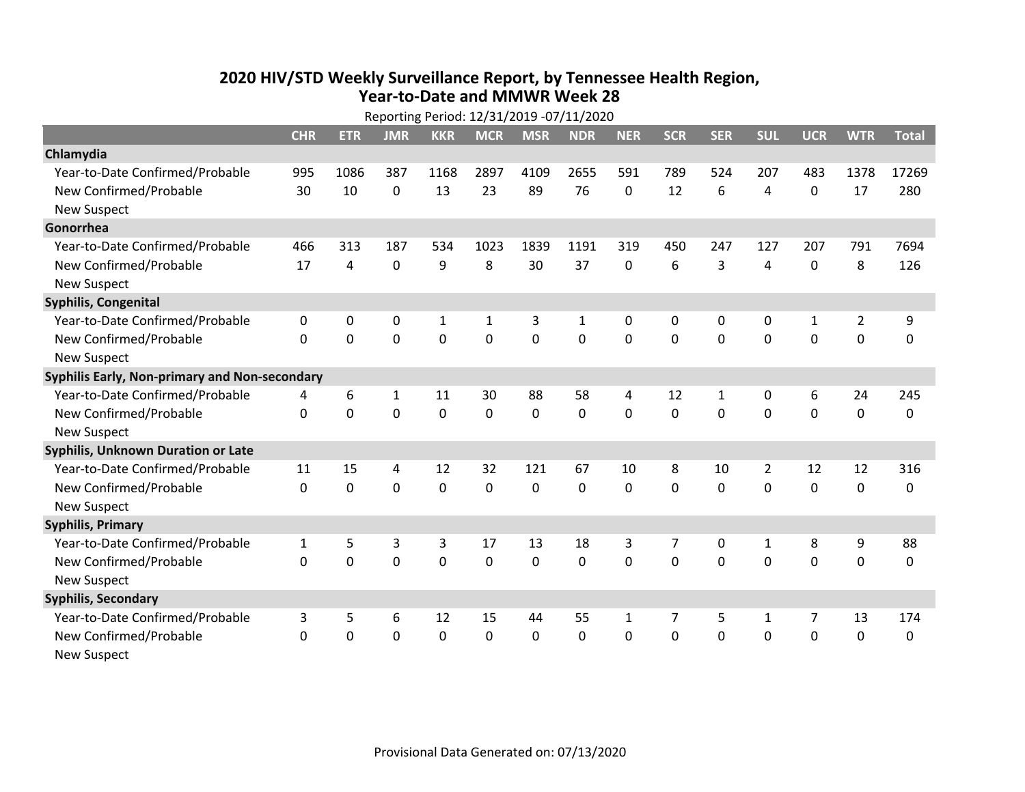## **2020 HIV /STD Weekly Surveillance Report, by Tennessee Health Region, Year‐to‐Date and MMWR Week 28** Reporting Period: 12/31/2019 ‐07/11/2020

|                                               | Reporting Period: 12/31/2019 -07/11/2020 |             |              |             |              |             |              |              |            |              |                |                |                |              |
|-----------------------------------------------|------------------------------------------|-------------|--------------|-------------|--------------|-------------|--------------|--------------|------------|--------------|----------------|----------------|----------------|--------------|
|                                               | <b>CHR</b>                               | <b>ETR</b>  | <b>JMR</b>   | <b>KKR</b>  | <b>MCR</b>   | <b>MSR</b>  | <b>NDR</b>   | <b>NER</b>   | <b>SCR</b> | <b>SER</b>   | <b>SUL</b>     | <b>UCR</b>     | <b>WTR</b>     | <b>Total</b> |
| Chlamydia                                     |                                          |             |              |             |              |             |              |              |            |              |                |                |                |              |
| Year-to-Date Confirmed/Probable               | 995                                      | 1086        | 387          | 1168        | 2897         | 4109        | 2655         | 591          | 789        | 524          | 207            | 483            | 1378           | 17269        |
| New Confirmed/Probable                        | 30                                       | 10          | 0            | 13          | 23           | 89          | 76           | 0            | 12         | 6            | 4              | 0              | 17             | 280          |
| <b>New Suspect</b>                            |                                          |             |              |             |              |             |              |              |            |              |                |                |                |              |
| Gonorrhea                                     |                                          |             |              |             |              |             |              |              |            |              |                |                |                |              |
| Year-to-Date Confirmed/Probable               | 466                                      | 313         | 187          | 534         | 1023         | 1839        | 1191         | 319          | 450        | 247          | 127            | 207            | 791            | 7694         |
| New Confirmed/Probable                        | 17                                       | 4           | 0            | 9           | 8            | 30          | 37           | $\mathbf 0$  | 6          | 3            | 4              | 0              | 8              | 126          |
| <b>New Suspect</b>                            |                                          |             |              |             |              |             |              |              |            |              |                |                |                |              |
| <b>Syphilis, Congenital</b>                   |                                          |             |              |             |              |             |              |              |            |              |                |                |                |              |
| Year-to-Date Confirmed/Probable               | 0                                        | 0           | 0            | $\mathbf 1$ | $\mathbf{1}$ | 3           | $\mathbf{1}$ | $\mathbf{0}$ | 0          | $\mathbf{0}$ | 0              | $\mathbf{1}$   | $\overline{2}$ | 9            |
| New Confirmed/Probable                        | $\Omega$                                 | $\mathbf 0$ | 0            | 0           | $\mathbf 0$  | $\mathbf 0$ | 0            | $\Omega$     | $\Omega$   | $\mathbf 0$  | 0              | 0              | $\mathbf 0$    | 0            |
| <b>New Suspect</b>                            |                                          |             |              |             |              |             |              |              |            |              |                |                |                |              |
| Syphilis Early, Non-primary and Non-secondary |                                          |             |              |             |              |             |              |              |            |              |                |                |                |              |
| Year-to-Date Confirmed/Probable               | 4                                        | 6           | $\mathbf{1}$ | 11          | 30           | 88          | 58           | 4            | 12         | $\mathbf{1}$ | 0              | 6              | 24             | 245          |
| New Confirmed/Probable                        | $\Omega$                                 | $\mathbf 0$ | 0            | 0           | 0            | $\mathbf 0$ | $\Omega$     | $\Omega$     | $\Omega$   | $\mathbf{0}$ | $\mathbf 0$    | $\mathbf 0$    | $\mathbf 0$    | 0            |
| <b>New Suspect</b>                            |                                          |             |              |             |              |             |              |              |            |              |                |                |                |              |
| <b>Syphilis, Unknown Duration or Late</b>     |                                          |             |              |             |              |             |              |              |            |              |                |                |                |              |
| Year-to-Date Confirmed/Probable               | 11                                       | 15          | 4            | 12          | 32           | 121         | 67           | 10           | 8          | 10           | $\overline{2}$ | 12             | 12             | 316          |
| New Confirmed/Probable                        | 0                                        | 0           | $\mathbf 0$  | 0           | 0            | 0           | $\Omega$     | $\Omega$     | $\Omega$   | $\Omega$     | $\Omega$       | $\mathbf 0$    | $\mathbf 0$    | 0            |
| New Suspect                                   |                                          |             |              |             |              |             |              |              |            |              |                |                |                |              |
| <b>Syphilis, Primary</b>                      |                                          |             |              |             |              |             |              |              |            |              |                |                |                |              |
| Year-to-Date Confirmed/Probable               | $\mathbf{1}$                             | 5           | 3            | 3           | 17           | 13          | 18           | 3            | 7          | $\mathbf{0}$ | $\mathbf{1}$   | 8              | 9              | 88           |
| New Confirmed/Probable                        | 0                                        | $\mathbf 0$ | 0            | 0           | 0            | $\mathbf 0$ | 0            | $\Omega$     | $\Omega$   | $\Omega$     | 0              | $\overline{0}$ | $\mathbf 0$    | $\mathbf 0$  |
| <b>New Suspect</b>                            |                                          |             |              |             |              |             |              |              |            |              |                |                |                |              |
| <b>Syphilis, Secondary</b>                    |                                          |             |              |             |              |             |              |              |            |              |                |                |                |              |
| Year-to-Date Confirmed/Probable               | 3                                        | 5           | 6            | 12          | 15           | 44          | 55           | $\mathbf{1}$ | 7          | 5            | 1              | 7              | 13             | 174          |
| New Confirmed/Probable                        | $\Omega$                                 | 0           | 0            | 0           | 0            | 0           | 0            | $\Omega$     | $\Omega$   | $\Omega$     | 0              | 0              | $\mathbf 0$    | 0            |
| <b>New Suspect</b>                            |                                          |             |              |             |              |             |              |              |            |              |                |                |                |              |